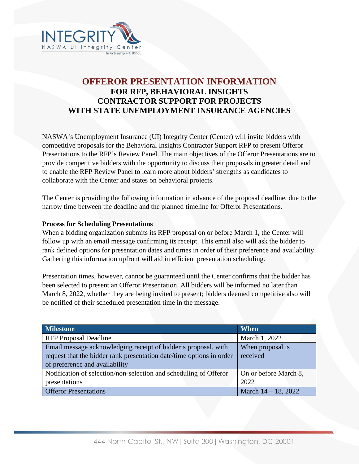

## **OFFEROR PRESENTATION INFORMATION FOR RFP, BEHAVIORAL INSIGHTS CONTRACTOR SUPPORT FOR PROJECTS WITH STATE UNEMPLOYMENT INSURANCE AGENCIES**

NASWA's Unemployment Insurance (UI) Integrity Center (Center) will invite bidders with competitive proposals for the Behavioral Insights Contractor Support RFP to present Offeror Presentations to the RFP's Review Panel. The main objectives of the Offeror Presentations are to provide competitive bidders with the opportunity to discuss their proposals in greater detail and to enable the RFP Review Panel to learn more about bidders' strengths as candidates to collaborate with the Center and states on behavioral projects.

The Center is providing the following information in advance of the proposal deadline, due to the narrow time between the deadline and the planned timeline for Offeror Presentations.

## **Process for Scheduling Presentations**

When a bidding organization submits its RFP proposal on or before March 1, the Center will follow up with an email message confirming its receipt. This email also will ask the bidder to rank defined options for presentation dates and times in order of their preference and availability. Gathering this information upfront will aid in efficient presentation scheduling.

Presentation times, however, cannot be guaranteed until the Center confirms that the bidder has been selected to present an Offeror Presentation. All bidders will be informed no later than March 8, 2022, whether they are being invited to present; bidders deemed competitive also will be notified of their scheduled presentation time in the message.

| <b>Milestone</b>                                                     | <b>When</b>            |
|----------------------------------------------------------------------|------------------------|
| <b>RFP</b> Proposal Deadline                                         | March 1, 2022          |
| Email message acknowledging receipt of bidder's proposal, with       | When proposal is       |
| request that the bidder rank presentation date/time options in order | received               |
| of preference and availability                                       |                        |
| Notification of selection/non-selection and scheduling of Offeror    | On or before March 8,  |
| presentations                                                        | 2022                   |
| <b>Offeror Presentations</b>                                         | March $14 - 18$ , 2022 |